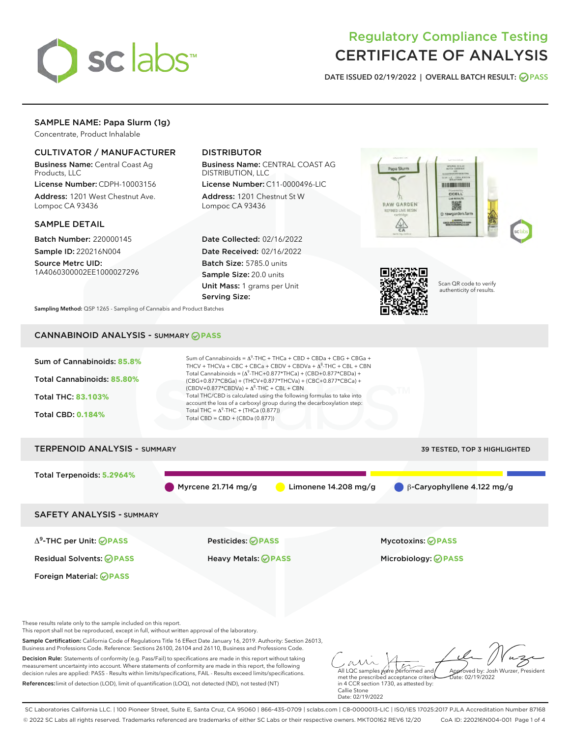

# Regulatory Compliance Testing CERTIFICATE OF ANALYSIS

DATE ISSUED 02/19/2022 | OVERALL BATCH RESULT: @ PASS

# SAMPLE NAME: Papa Slurm (1g)

Concentrate, Product Inhalable

# CULTIVATOR / MANUFACTURER

Business Name: Central Coast Ag Products, LLC

License Number: CDPH-10003156 Address: 1201 West Chestnut Ave. Lompoc CA 93436

### SAMPLE DETAIL

Batch Number: 220000145 Sample ID: 220216N004

Source Metrc UID: 1A4060300002EE1000027296

# DISTRIBUTOR

Business Name: CENTRAL COAST AG DISTRIBUTION, LLC

License Number: C11-0000496-LIC Address: 1201 Chestnut St W Lompoc CA 93436

Date Collected: 02/16/2022 Date Received: 02/16/2022 Batch Size: 5785.0 units Sample Size: 20.0 units Unit Mass: 1 grams per Unit Serving Size:





Scan QR code to verify authenticity of results.

Sampling Method: QSP 1265 - Sampling of Cannabis and Product Batches

# CANNABINOID ANALYSIS - SUMMARY **PASS**



SC Laboratories California LLC. | 100 Pioneer Street, Suite E, Santa Cruz, CA 95060 | 866-435-0709 | sclabs.com | C8-0000013-LIC | ISO/IES 17025:2017 PJLA Accreditation Number 87168 © 2022 SC Labs all rights reserved. Trademarks referenced are trademarks of either SC Labs or their respective owners. MKT00162 REV6 12/20 CoA ID: 220216N004-001 Page 1 of 4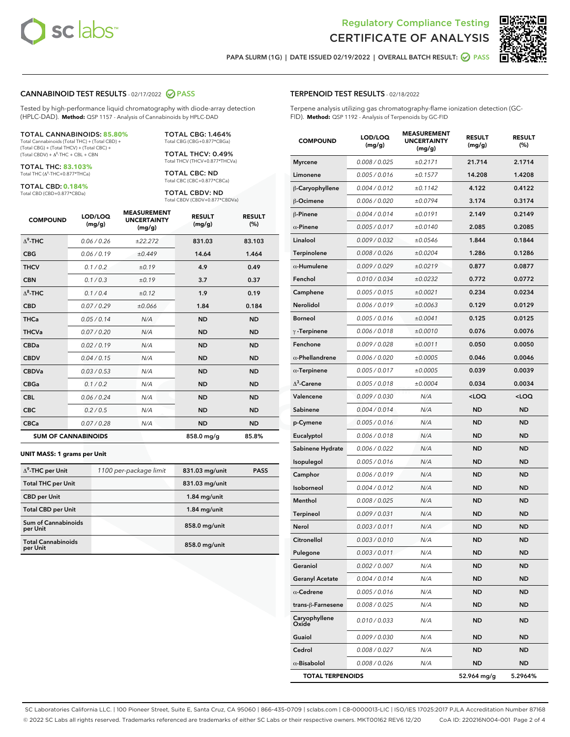



PAPA SLURM (1G) | DATE ISSUED 02/19/2022 | OVERALL BATCH RESULT:  $\bigcirc$  PASS

# CANNABINOID TEST RESULTS - 02/17/2022 2 PASS

Tested by high-performance liquid chromatography with diode-array detection (HPLC-DAD). **Method:** QSP 1157 - Analysis of Cannabinoids by HPLC-DAD

#### TOTAL CANNABINOIDS: **85.80%**

Total Cannabinoids (Total THC) + (Total CBD) + (Total CBG) + (Total THCV) + (Total CBC) +  $(Total CBDV) +  $\Delta^8$ -THC + CBL + CBN$ 

TOTAL THC: **83.103%** Total THC (Δ<sup>9</sup> -THC+0.877\*THCa)

TOTAL CBD: **0.184%**

Total CBD (CBD+0.877\*CBDa)

TOTAL CBG: 1.464% Total CBG (CBG+0.877\*CBGa)

TOTAL THCV: 0.49% Total THCV (THCV+0.877\*THCVa)

TOTAL CBC: ND Total CBC (CBC+0.877\*CBCa)

TOTAL CBDV: ND Total CBDV (CBDV+0.877\*CBDVa)

| <b>COMPOUND</b>            | LOD/LOQ<br>(mg/g) | <b>MEASUREMENT</b><br><b>UNCERTAINTY</b><br>(mg/g) | <b>RESULT</b><br>(mg/g) | <b>RESULT</b><br>(%) |
|----------------------------|-------------------|----------------------------------------------------|-------------------------|----------------------|
| $\Delta^9$ -THC            | 0.06/0.26         | ±22.272                                            | 831.03                  | 83.103               |
| <b>CBG</b>                 | 0.06/0.19         | ±0.449                                             | 14.64                   | 1.464                |
| <b>THCV</b>                | 0.1/0.2           | ±0.19                                              | 4.9                     | 0.49                 |
| <b>CBN</b>                 | 0.1/0.3           | ±0.19                                              | 3.7                     | 0.37                 |
| $\Delta^8$ -THC            | 0.1/0.4           | ±0.12                                              | 1.9                     | 0.19                 |
| <b>CBD</b>                 | 0.07/0.29         | ±0.066                                             | 1.84                    | 0.184                |
| <b>THCa</b>                | 0.05/0.14         | N/A                                                | <b>ND</b>               | <b>ND</b>            |
| <b>THCVa</b>               | 0.07/0.20         | N/A                                                | <b>ND</b>               | <b>ND</b>            |
| <b>CBDa</b>                | 0.02/0.19         | N/A                                                | <b>ND</b>               | <b>ND</b>            |
| <b>CBDV</b>                | 0.04 / 0.15       | N/A                                                | <b>ND</b>               | <b>ND</b>            |
| <b>CBDVa</b>               | 0.03/0.53         | N/A                                                | <b>ND</b>               | <b>ND</b>            |
| <b>CBGa</b>                | 0.1/0.2           | N/A                                                | <b>ND</b>               | <b>ND</b>            |
| <b>CBL</b>                 | 0.06 / 0.24       | N/A                                                | <b>ND</b>               | <b>ND</b>            |
| <b>CBC</b>                 | 0.2 / 0.5         | N/A                                                | <b>ND</b>               | <b>ND</b>            |
| <b>CBCa</b>                | 0.07 / 0.28       | N/A                                                | <b>ND</b>               | <b>ND</b>            |
| <b>SUM OF CANNABINOIDS</b> |                   |                                                    | 858.0 mg/g              | 85.8%                |

#### **UNIT MASS: 1 grams per Unit**

| $\Delta^9$ -THC per Unit               | 1100 per-package limit | 831.03 mg/unit | <b>PASS</b> |
|----------------------------------------|------------------------|----------------|-------------|
| <b>Total THC per Unit</b>              |                        | 831.03 mg/unit |             |
| <b>CBD</b> per Unit                    |                        | $1.84$ mg/unit |             |
| <b>Total CBD per Unit</b>              |                        | $1.84$ mg/unit |             |
| <b>Sum of Cannabinoids</b><br>per Unit |                        | 858.0 mg/unit  |             |
| <b>Total Cannabinoids</b><br>per Unit  |                        | 858.0 mg/unit  |             |

Terpene analysis utilizing gas chromatography-flame ionization detection (GC-FID). **Method:** QSP 1192 - Analysis of Terpenoids by GC-FID

| <b>COMPOUND</b>         | LOD/LOQ<br>(mg/g) | <b>MEASUREMENT</b><br><b>UNCERTAINTY</b><br>(mg/g) | <b>RESULT</b><br>(mg/g)                         | <b>RESULT</b><br>$(\%)$ |
|-------------------------|-------------------|----------------------------------------------------|-------------------------------------------------|-------------------------|
| <b>Myrcene</b>          | 0.008 / 0.025     | ±0.2171                                            | 21.714                                          | 2.1714                  |
| Limonene                | 0.005 / 0.016     | ±0.1577                                            | 14.208                                          | 1.4208                  |
| β-Caryophyllene         | 0.004 / 0.012     | ±0.1142                                            | 4.122                                           | 0.4122                  |
| β-Ocimene               | 0.006 / 0.020     | ±0.0794                                            | 3.174                                           | 0.3174                  |
| β-Pinene                | 0.004 / 0.014     | ±0.0191                                            | 2.149                                           | 0.2149                  |
| $\alpha$ -Pinene        | 0.005 / 0.017     | ±0.0140                                            | 2.085                                           | 0.2085                  |
| Linalool                | 0.009 / 0.032     | ±0.0546                                            | 1.844                                           | 0.1844                  |
| Terpinolene             | 0.008 / 0.026     | ±0.0204                                            | 1.286                                           | 0.1286                  |
| $\alpha$ -Humulene      | 0.009 / 0.029     | ±0.0219                                            | 0.877                                           | 0.0877                  |
| Fenchol                 | 0.010 / 0.034     | ±0.0232                                            | 0.772                                           | 0.0772                  |
| Camphene                | 0.005 / 0.015     | ±0.0021                                            | 0.234                                           | 0.0234                  |
| Nerolidol               | 0.006 / 0.019     | ±0.0063                                            | 0.129                                           | 0.0129                  |
| <b>Borneol</b>          | 0.005 / 0.016     | ±0.0041                                            | 0.125                                           | 0.0125                  |
| $\gamma$ -Terpinene     | 0.006 / 0.018     | ±0.0010                                            | 0.076                                           | 0.0076                  |
| Fenchone                | 0.009 / 0.028     | ±0.0011                                            | 0.050                                           | 0.0050                  |
| $\alpha$ -Phellandrene  | 0.006 / 0.020     | ±0.0005                                            | 0.046                                           | 0.0046                  |
| $\alpha$ -Terpinene     | 0.005 / 0.017     | ±0.0005                                            | 0.039                                           | 0.0039                  |
| $\Delta^3$ -Carene      | 0.005 / 0.018     | ±0.0004                                            | 0.034                                           | 0.0034                  |
| Valencene               | 0.009 / 0.030     | N/A                                                | <loq< th=""><th><loq< th=""></loq<></th></loq<> | <loq< th=""></loq<>     |
| Sabinene                | 0.004 / 0.014     | N/A                                                | ND                                              | <b>ND</b>               |
| p-Cymene                | 0.005 / 0.016     | N/A                                                | <b>ND</b>                                       | <b>ND</b>               |
| Eucalyptol              | 0.006 / 0.018     | N/A                                                | ND                                              | <b>ND</b>               |
| Sabinene Hydrate        | 0.006 / 0.022     | N/A                                                | ND                                              | ND                      |
| Isopulegol              | 0.005 / 0.016     | N/A                                                | <b>ND</b>                                       | <b>ND</b>               |
| Camphor                 | 0.006 / 0.019     | N/A                                                | ND                                              | <b>ND</b>               |
| Isoborneol              | 0.004 / 0.012     | N/A                                                | ND                                              | <b>ND</b>               |
| Menthol                 | 0.008 / 0.025     | N/A                                                | <b>ND</b>                                       | <b>ND</b>               |
| <b>Terpineol</b>        | 0.009 / 0.031     | N/A                                                | ND                                              | <b>ND</b>               |
| Nerol                   | 0.003 / 0.011     | N/A                                                | ND                                              | ND                      |
| Citronellol             | 0.003 / 0.010     | N/A                                                | <b>ND</b>                                       | <b>ND</b>               |
| Pulegone                | 0.003 / 0.011     | N/A                                                | ND                                              | ND                      |
| Geraniol                | 0.002 / 0.007     | N/A                                                | ND                                              | ND                      |
| <b>Geranyl Acetate</b>  | 0.004 / 0.014     | N/A                                                | ND                                              | <b>ND</b>               |
| $\alpha$ -Cedrene       | 0.005 / 0.016     | N/A                                                | <b>ND</b>                                       | ND                      |
| trans-ß-Farnesene       | 0.008 / 0.025     | N/A                                                | ND                                              | ND                      |
| Caryophyllene<br>Oxide  | 0.010 / 0.033     | N/A                                                | <b>ND</b>                                       | <b>ND</b>               |
| Guaiol                  | 0.009 / 0.030     | N/A                                                | <b>ND</b>                                       | ND                      |
| Cedrol                  | 0.008 / 0.027     | N/A                                                | <b>ND</b>                                       | ND                      |
| $\alpha$ -Bisabolol     | 0.008 / 0.026     | N/A                                                | ND                                              | ND                      |
| <b>TOTAL TERPENOIDS</b> |                   |                                                    | 52.964 mg/g                                     | 5.2964%                 |

SC Laboratories California LLC. | 100 Pioneer Street, Suite E, Santa Cruz, CA 95060 | 866-435-0709 | sclabs.com | C8-0000013-LIC | ISO/IES 17025:2017 PJLA Accreditation Number 87168 © 2022 SC Labs all rights reserved. Trademarks referenced are trademarks of either SC Labs or their respective owners. MKT00162 REV6 12/20 CoA ID: 220216N004-001 Page 2 of 4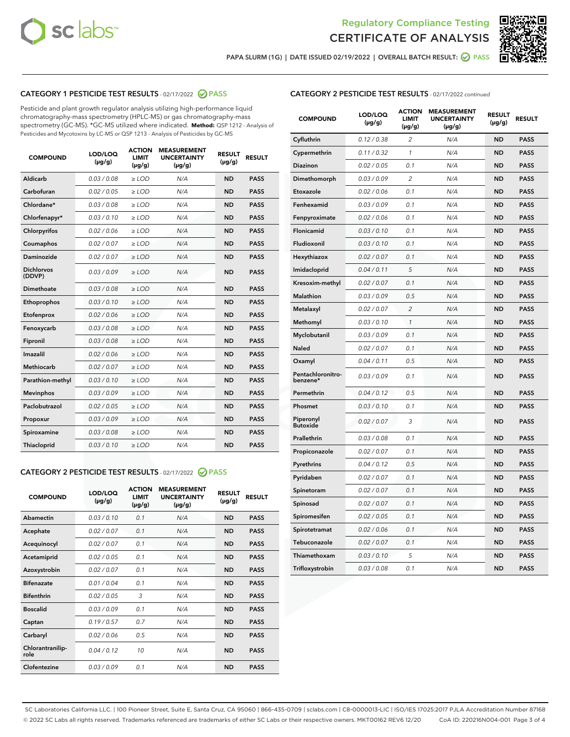



PAPA SLURM (1G) | DATE ISSUED 02/19/2022 | OVERALL BATCH RESULT:  $\bigcirc$  PASS

# CATEGORY 1 PESTICIDE TEST RESULTS - 02/17/2022 2 PASS

Pesticide and plant growth regulator analysis utilizing high-performance liquid chromatography-mass spectrometry (HPLC-MS) or gas chromatography-mass spectrometry (GC-MS). \*GC-MS utilized where indicated. **Method:** QSP 1212 - Analysis of Pesticides and Mycotoxins by LC-MS or QSP 1213 - Analysis of Pesticides by GC-MS

| <b>COMPOUND</b>             | LOD/LOQ<br>$(\mu g/g)$ | <b>ACTION</b><br>LIMIT<br>$(\mu g/g)$ | <b>MEASUREMENT</b><br><b>UNCERTAINTY</b><br>$(\mu g/g)$ | <b>RESULT</b><br>$(\mu g/g)$ | <b>RESULT</b> |
|-----------------------------|------------------------|---------------------------------------|---------------------------------------------------------|------------------------------|---------------|
| <b>Aldicarb</b>             | 0.03 / 0.08            | $\geq$ LOD                            | N/A                                                     | <b>ND</b>                    | <b>PASS</b>   |
| Carbofuran                  | 0.02 / 0.05            | $\ge$ LOD                             | N/A                                                     | <b>ND</b>                    | <b>PASS</b>   |
| Chlordane*                  | 0.03/0.08              | $>$ LOD                               | N/A                                                     | <b>ND</b>                    | <b>PASS</b>   |
| Chlorfenapyr*               | 0.03/0.10              | $>$ LOD                               | N/A                                                     | <b>ND</b>                    | <b>PASS</b>   |
| Chlorpyrifos                | 0.02 / 0.06            | $>$ LOD                               | N/A                                                     | <b>ND</b>                    | <b>PASS</b>   |
| Coumaphos                   | 0.02 / 0.07            | $\geq$ LOD                            | N/A                                                     | <b>ND</b>                    | <b>PASS</b>   |
| <b>Daminozide</b>           | 0.02 / 0.07            | $\ge$ LOD                             | N/A                                                     | <b>ND</b>                    | <b>PASS</b>   |
| <b>Dichlorvos</b><br>(DDVP) | 0.03/0.09              | $\geq$ LOD                            | N/A                                                     | <b>ND</b>                    | <b>PASS</b>   |
| Dimethoate                  | 0.03 / 0.08            | $>$ LOD                               | N/A                                                     | <b>ND</b>                    | <b>PASS</b>   |
| Ethoprophos                 | 0.03/0.10              | $\geq$ LOD                            | N/A                                                     | <b>ND</b>                    | <b>PASS</b>   |
| Etofenprox                  | 0.02 / 0.06            | > LOD                                 | N/A                                                     | <b>ND</b>                    | <b>PASS</b>   |
| Fenoxycarb                  | 0.03 / 0.08            | $\geq$ LOD                            | N/A                                                     | <b>ND</b>                    | <b>PASS</b>   |
| Fipronil                    | 0.03 / 0.08            | $\ge$ LOD                             | N/A                                                     | <b>ND</b>                    | <b>PASS</b>   |
| Imazalil                    | 0.02 / 0.06            | $\ge$ LOD                             | N/A                                                     | <b>ND</b>                    | <b>PASS</b>   |
| <b>Methiocarb</b>           | 0.02 / 0.07            | $\ge$ LOD                             | N/A                                                     | <b>ND</b>                    | <b>PASS</b>   |
| Parathion-methyl            | 0.03/0.10              | > LOD                                 | N/A                                                     | <b>ND</b>                    | <b>PASS</b>   |
| <b>Mevinphos</b>            | 0.03/0.09              | $\ge$ LOD                             | N/A                                                     | <b>ND</b>                    | <b>PASS</b>   |
| Paclobutrazol               | 0.02 / 0.05            | $\ge$ LOD                             | N/A                                                     | <b>ND</b>                    | <b>PASS</b>   |
| Propoxur                    | 0.03 / 0.09            | $\geq$ LOD                            | N/A                                                     | <b>ND</b>                    | <b>PASS</b>   |
| Spiroxamine                 | 0.03 / 0.08            | $\ge$ LOD                             | N/A                                                     | <b>ND</b>                    | <b>PASS</b>   |
| Thiacloprid                 | 0.03/0.10              | $>$ LOD                               | N/A                                                     | <b>ND</b>                    | <b>PASS</b>   |

# CATEGORY 2 PESTICIDE TEST RESULTS - 02/17/2022 @ PASS

| <b>COMPOUND</b>          | LOD/LOQ<br>$(\mu g/g)$ | <b>ACTION</b><br><b>LIMIT</b><br>$(\mu g/g)$ | <b>MEASUREMENT</b><br><b>UNCERTAINTY</b><br>$(\mu g/g)$ | <b>RESULT</b><br>$(\mu g/g)$ | <b>RESULT</b> |
|--------------------------|------------------------|----------------------------------------------|---------------------------------------------------------|------------------------------|---------------|
| Abamectin                | 0.03/0.10              | 0.1                                          | N/A                                                     | <b>ND</b>                    | <b>PASS</b>   |
| Acephate                 | 0.02/0.07              | 0.1                                          | N/A                                                     | <b>ND</b>                    | <b>PASS</b>   |
| Acequinocyl              | 0.02/0.07              | 0.1                                          | N/A                                                     | <b>ND</b>                    | <b>PASS</b>   |
| Acetamiprid              | 0.02/0.05              | 0.1                                          | N/A                                                     | <b>ND</b>                    | <b>PASS</b>   |
| Azoxystrobin             | 0.02/0.07              | 0.1                                          | N/A                                                     | <b>ND</b>                    | <b>PASS</b>   |
| <b>Bifenazate</b>        | 0.01/0.04              | 0.1                                          | N/A                                                     | <b>ND</b>                    | <b>PASS</b>   |
| <b>Bifenthrin</b>        | 0.02 / 0.05            | 3                                            | N/A                                                     | <b>ND</b>                    | <b>PASS</b>   |
| <b>Boscalid</b>          | 0.03/0.09              | 0.1                                          | N/A                                                     | <b>ND</b>                    | <b>PASS</b>   |
| Captan                   | 0.19/0.57              | 0.7                                          | N/A                                                     | <b>ND</b>                    | <b>PASS</b>   |
| Carbaryl                 | 0.02/0.06              | 0.5                                          | N/A                                                     | <b>ND</b>                    | <b>PASS</b>   |
| Chlorantranilip-<br>role | 0.04/0.12              | 10                                           | N/A                                                     | <b>ND</b>                    | <b>PASS</b>   |
| Clofentezine             | 0.03/0.09              | 0.1                                          | N/A                                                     | <b>ND</b>                    | <b>PASS</b>   |

# CATEGORY 2 PESTICIDE TEST RESULTS - 02/17/2022 continued

| <b>COMPOUND</b>               | LOD/LOQ<br>(µg/g) | <b>ACTION</b><br><b>LIMIT</b><br>(µg/g) | <b>MEASUREMENT</b><br><b>UNCERTAINTY</b><br>$(\mu g/g)$ | <b>RESULT</b><br>(µg/g) | <b>RESULT</b> |
|-------------------------------|-------------------|-----------------------------------------|---------------------------------------------------------|-------------------------|---------------|
| Cyfluthrin                    | 0.12 / 0.38       | $\overline{c}$                          | N/A                                                     | <b>ND</b>               | <b>PASS</b>   |
| Cypermethrin                  | 0.11 / 0.32       | 1                                       | N/A                                                     | <b>ND</b>               | <b>PASS</b>   |
| <b>Diazinon</b>               | 0.02 / 0.05       | 0.1                                     | N/A                                                     | <b>ND</b>               | <b>PASS</b>   |
| Dimethomorph                  | 0.03 / 0.09       | $\overline{c}$                          | N/A                                                     | <b>ND</b>               | <b>PASS</b>   |
| Etoxazole                     | 0.02 / 0.06       | 0.1                                     | N/A                                                     | <b>ND</b>               | <b>PASS</b>   |
| Fenhexamid                    | 0.03 / 0.09       | 0.1                                     | N/A                                                     | <b>ND</b>               | <b>PASS</b>   |
| Fenpyroximate                 | 0.02 / 0.06       | 0.1                                     | N/A                                                     | <b>ND</b>               | <b>PASS</b>   |
| Flonicamid                    | 0.03 / 0.10       | 0.1                                     | N/A                                                     | <b>ND</b>               | <b>PASS</b>   |
| Fludioxonil                   | 0.03 / 0.10       | 0.1                                     | N/A                                                     | <b>ND</b>               | <b>PASS</b>   |
| Hexythiazox                   | 0.02 / 0.07       | 0.1                                     | N/A                                                     | <b>ND</b>               | <b>PASS</b>   |
| Imidacloprid                  | 0.04 / 0.11       | 5                                       | N/A                                                     | <b>ND</b>               | <b>PASS</b>   |
| Kresoxim-methyl               | 0.02 / 0.07       | 0.1                                     | N/A                                                     | <b>ND</b>               | <b>PASS</b>   |
| Malathion                     | 0.03 / 0.09       | 0.5                                     | N/A                                                     | <b>ND</b>               | <b>PASS</b>   |
| Metalaxyl                     | 0.02 / 0.07       | $\overline{c}$                          | N/A                                                     | <b>ND</b>               | <b>PASS</b>   |
| Methomyl                      | 0.03 / 0.10       | 1                                       | N/A                                                     | <b>ND</b>               | <b>PASS</b>   |
| Myclobutanil                  | 0.03 / 0.09       | 0.1                                     | N/A                                                     | <b>ND</b>               | <b>PASS</b>   |
| Naled                         | 0.02 / 0.07       | 0.1                                     | N/A                                                     | <b>ND</b>               | <b>PASS</b>   |
| Oxamyl                        | 0.04 / 0.11       | 0.5                                     | N/A                                                     | ND                      | <b>PASS</b>   |
| Pentachloronitro-<br>benzene* | 0.03 / 0.09       | 0.1                                     | N/A                                                     | <b>ND</b>               | <b>PASS</b>   |
| Permethrin                    | 0.04 / 0.12       | 0.5                                     | N/A                                                     | <b>ND</b>               | <b>PASS</b>   |
| Phosmet                       | 0.03 / 0.10       | 0.1                                     | N/A                                                     | <b>ND</b>               | <b>PASS</b>   |
| Piperonyl<br><b>Butoxide</b>  | 0.02 / 0.07       | 3                                       | N/A                                                     | <b>ND</b>               | <b>PASS</b>   |
| Prallethrin                   | 0.03 / 0.08       | 0.1                                     | N/A                                                     | <b>ND</b>               | <b>PASS</b>   |
| Propiconazole                 | 0.02 / 0.07       | 0.1                                     | N/A                                                     | <b>ND</b>               | <b>PASS</b>   |
| Pyrethrins                    | 0.04 / 0.12       | 0.5                                     | N/A                                                     | <b>ND</b>               | <b>PASS</b>   |
| Pyridaben                     | 0.02 / 0.07       | 0.1                                     | N/A                                                     | <b>ND</b>               | <b>PASS</b>   |
| Spinetoram                    | 0.02 / 0.07       | 0.1                                     | N/A                                                     | <b>ND</b>               | <b>PASS</b>   |
| Spinosad                      | 0.02 / 0.07       | 0.1                                     | N/A                                                     | <b>ND</b>               | <b>PASS</b>   |
| Spiromesifen                  | 0.02 / 0.05       | 0.1                                     | N/A                                                     | <b>ND</b>               | <b>PASS</b>   |
| Spirotetramat                 | 0.02 / 0.06       | 0.1                                     | N/A                                                     | <b>ND</b>               | <b>PASS</b>   |
| Tebuconazole                  | 0.02 / 0.07       | 0.1                                     | N/A                                                     | <b>ND</b>               | <b>PASS</b>   |
| Thiamethoxam                  | 0.03 / 0.10       | 5                                       | N/A                                                     | <b>ND</b>               | <b>PASS</b>   |
| Trifloxystrobin               | 0.03 / 0.08       | 0.1                                     | N/A                                                     | <b>ND</b>               | <b>PASS</b>   |

SC Laboratories California LLC. | 100 Pioneer Street, Suite E, Santa Cruz, CA 95060 | 866-435-0709 | sclabs.com | C8-0000013-LIC | ISO/IES 17025:2017 PJLA Accreditation Number 87168 © 2022 SC Labs all rights reserved. Trademarks referenced are trademarks of either SC Labs or their respective owners. MKT00162 REV6 12/20 CoA ID: 220216N004-001 Page 3 of 4